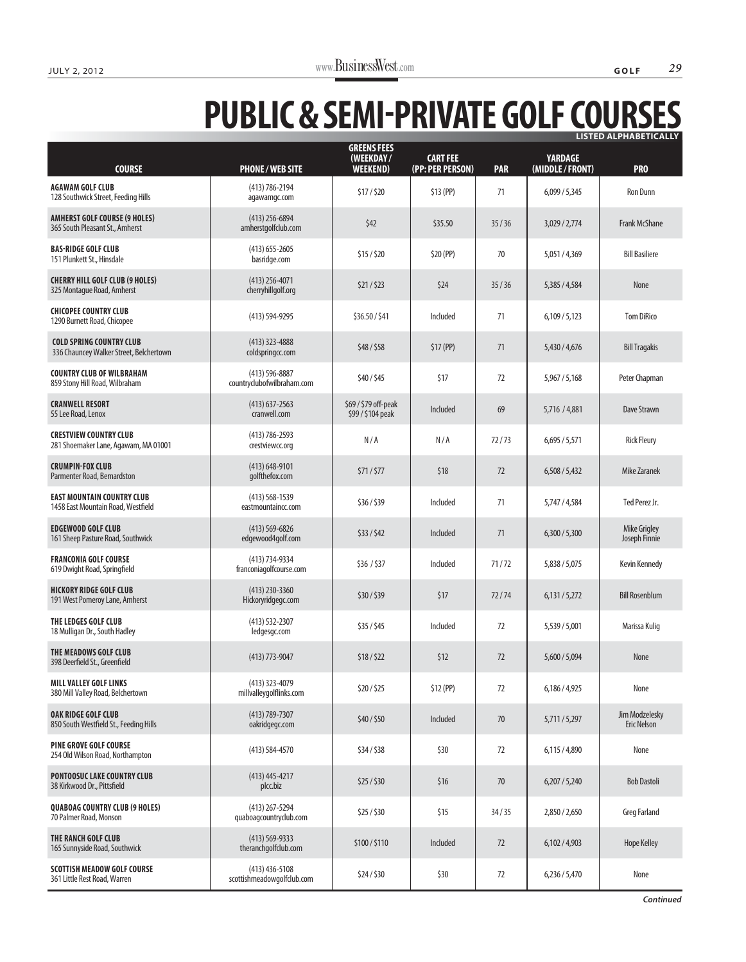## **PUBLIC & SEMI-PRIVATE GOLF COURSES LISTED ALPHABETICALLY**

| <b>COURSE</b>                                                              | <b>PHONE/WEB SITE</b>                            | <b>GREENS FEES</b><br>(WEEKDAY/<br><b>WEEKEND)</b> | <b>CART FEE</b><br>(PP: PER PERSON) | <b>PAR</b> | <b>YARDAGE</b><br>(MIDDLE / FRONT) | <b>PRO</b>                           |
|----------------------------------------------------------------------------|--------------------------------------------------|----------------------------------------------------|-------------------------------------|------------|------------------------------------|--------------------------------------|
| <b>AGAWAM GOLF CLUB</b><br>128 Southwick Street, Feeding Hills             | $(413) 786 - 2194$<br>agawamgc.com               | \$17/\$20                                          | \$13(PP)                            | 71         | 6,099/5,345                        | Ron Dunn                             |
| <b>AMHERST GOLF COURSE (9 HOLES)</b><br>365 South Pleasant St., Amherst    | $(413)$ 256-6894<br>amherstgolfclub.com          | \$42                                               | \$35.50                             | 35/36      | 3,029 / 2,774                      | <b>Frank McShane</b>                 |
| <b>BAS-RIDGE GOLF CLUB</b><br>151 Plunkett St., Hinsdale                   | $(413)$ 655-2605<br>basridge.com                 | \$15/\$20                                          | \$20 (PP)                           | 70         | 5,051/4,369                        | <b>Bill Basiliere</b>                |
| <b>CHERRY HILL GOLF CLUB (9 HOLES)</b><br>325 Montague Road, Amherst       | $(413)$ 256-4071<br>cherryhillgolf.org           | \$21/523                                           | \$24                                | 35/36      | 5,385 / 4,584                      | None                                 |
| <b>CHICOPEE COUNTRY CLUB</b><br>1290 Burnett Road, Chicopee                | $(413) 594 - 9295$                               | \$36.50 / \$41                                     | Included                            | 71         | 6,109/5,123                        | <b>Tom DiRico</b>                    |
| <b>COLD SPRING COUNTRY CLUB</b><br>336 Chauncey Walker Street, Belchertown | $(413)$ 323-4888<br>coldspringcc.com             | \$48/\$58                                          | \$17 (PP)                           | 71         | 5,430 / 4,676                      | <b>Bill Tragakis</b>                 |
| <b>COUNTRY CLUB OF WILBRAHAM</b><br>859 Stony Hill Road, Wilbraham         | $(413) 596 - 8887$<br>countryclubofwilbraham.com | \$40/\$45                                          | \$17                                | 72         | 5,967 / 5,168                      | Peter Chapman                        |
| <b>CRANWELL RESORT</b><br>55 Lee Road, Lenox                               | $(413)$ 637-2563<br>cranwell.com                 | \$69 / \$79 off-peak<br>\$99 / \$104 peak          | Included                            | 69         | 5,716 / 4,881                      | Dave Strawn                          |
| <b>CRESTVIEW COUNTRY CLUB</b><br>281 Shoemaker Lane, Agawam, MA 01001      | $(413) 786 - 2593$<br>crestviewcc.org            | N/A                                                | N/A                                 | 72/73      | 6,695/5,571                        | <b>Rick Fleury</b>                   |
| <b>CRUMPIN-FOX CLUB</b><br>Parmenter Road, Bernardston                     | $(413) 648 - 9101$<br>golfthefox.com             | \$71/\$77                                          | \$18                                | 72         | 6,508/5,432                        | <b>Mike Zaranek</b>                  |
| <b>EAST MOUNTAIN COUNTRY CLUB</b><br>1458 East Mountain Road, Westfield    | $(413) 568 - 1539$<br>eastmountaincc.com         | \$36/\$39                                          | Included                            | 71         | 5,747 / 4,584                      | Ted Perez Jr.                        |
| <b>EDGEWOOD GOLF CLUB</b><br>161 Sheep Pasture Road, Southwick             | $(413) 569 - 6826$<br>edgewood4golf.com          | \$33/\$42                                          | Included                            | 71         | 6,300/5,300                        | <b>Mike Grigley</b><br>Joseph Finnie |
| <b>FRANCONIA GOLF COURSE</b><br>619 Dwight Road, Springfield               | (413) 734-9334<br>franconiagolfcourse.com        | \$36 / \$37                                        | Included                            | 71/72      | 5,838 / 5,075                      | Kevin Kennedy                        |
| <b>HICKORY RIDGE GOLF CLUB</b><br>191 West Pomeroy Lane, Amherst           | $(413)$ 230-3360<br>Hickoryridgegc.com           | \$30/\$39                                          | \$17                                | 72/74      | 6,131/5,272                        | <b>Bill Rosenblum</b>                |
| THE LEDGES GOLF CLUB<br>18 Mulligan Dr., South Hadley                      | $(413) 532 - 2307$<br>ledgesgc.com               | \$35/\$45                                          | Included                            | 72         | 5,539 / 5,001                      | Marissa Kuliq                        |
| THE MEADOWS GOLF CLUB<br>398 Deerfield St., Greenfield                     | $(413)$ 773-9047                                 | \$18/\$22                                          | \$12                                | 72         | 5,600 / 5,094                      | None                                 |
| <b>MILL VALLEY GOLF LINKS</b><br>380 Mill Valley Road, Belchertown         | (413) 323-4079<br>millvalleygolflinks.com        | \$20/\$25                                          | \$12(PP)                            | 72         | 6,186 / 4,925                      | None                                 |
| <b>OAK RIDGE GOLF CLUB</b><br>850 South Westfield St., Feeding Hills       | $(413) 789 - 7307$<br>oakridgegc.com             | \$40/\$50                                          | Included                            | $70$       | 5,711/5,297                        | Jim Modzelesky<br><b>Eric Nelson</b> |
| <b>PINE GROVE GOLF COURSE</b><br>254 Old Wilson Road, Northampton          | $(413) 584 - 4570$                               | \$34/\$38                                          | \$30                                | 72         | 6,115/4,890                        | None                                 |
| <b>PONTOOSUC LAKE COUNTRY CLUB</b><br>38 Kirkwood Dr., Pittsfield          | $(413)$ 445-4217<br>plcc.biz                     | \$25/\$30                                          | \$16                                | $70$       | 6,207/5,240                        | <b>Bob Dastoli</b>                   |
| <b>QUABOAG COUNTRY CLUB (9 HOLES)</b><br>70 Palmer Road, Monson            | (413) 267-5294<br>quaboagcountryclub.com         | \$25/\$30                                          | \$15                                | 34/35      | 2,850 / 2,650                      | <b>Greg Farland</b>                  |
| THE RANCH GOLF CLUB<br>165 Sunnyside Road, Southwick                       | $(413) 569 - 9333$<br>theranchgolfclub.com       | \$100/\$110                                        | Included                            | 72         | 6,102/4,903                        | <b>Hope Kelley</b>                   |
| <b>SCOTTISH MEADOW GOLF COURSE</b><br>361 Little Rest Road, Warren         | $(413)$ 436-5108<br>scottishmeadowgolfclub.com   | \$24/\$30                                          | \$30                                | 72         | 6,236/5,470                        | None                                 |